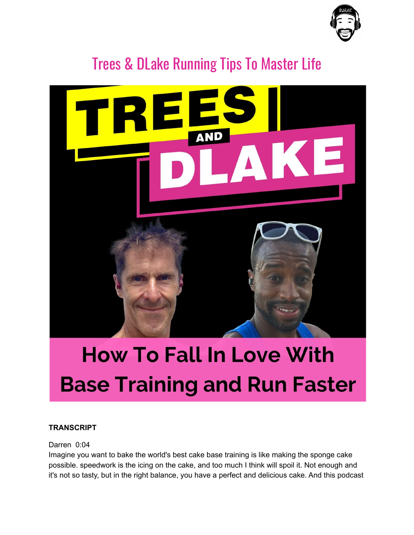

# Trees & DLake Running Tips To Master Life



# **How To Fall In Love With Base Training and Run Faster**

# **TRANSCRIPT**

# Darren 0:04

Imagine you want to bake the world's best cake base training is like making the sponge cake possible. speedwork is the icing on the cake, and too much I think will spoil it. Not enough and it's not so tasty, but in the right balance, you have a perfect and delicious cake. And this podcast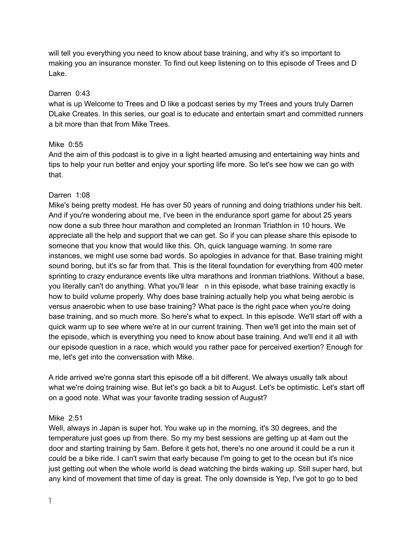will tell you everything you need to know about base training, and why it's so important to making you an insurance monster. To find out keep listening on to this episode of Trees and D Lake.

# Darren 0:43

what is up Welcome to Trees and D like a podcast series by my Trees and yours truly Darren DLake Creates. In this series, our goal is to educate and entertain smart and committed runners a bit more than that from Mike Trees.

# Mike 0:55

And the aim of this podcast is to give in a light hearted amusing and entertaining way hints and tips to help your run better and enjoy your sporting life more. So let's see how we can go with that.

# Darren 1:08

Mike's being pretty modest. He has over 50 years of running and doing triathlons under his belt. And if you're wondering about me, I've been in the endurance sport game for about 25 years now done a sub three hour marathon and completed an Ironman Triathlon in 10 hours. We appreciate all the help and support that we can get. So if you can please share this episode to someone that you know that would like this. Oh, quick language warning. In some rare instances, we might use some bad words. So apologies in advance for that. Base training might sound boring, but it's so far from that. This is the literal foundation for everything from 400 meter sprinting to crazy endurance events like ultra marathons and Ironman triathlons. Without a base, you literally can't do anything. What you'll lear n in this episode, what base training exactly is how to build volume properly. Why does base training actually help you what being aerobic is versus anaerobic when to use base training? What pace is the right pace when you're doing base training, and so much more. So here's what to expect. In this episode. We'll start off with a quick warm up to see where we're at in our current training. Then we'll get into the main set of the episode, which is everything you need to know about base training. And we'll end it all with our episode question in a race, which would you rather pace for perceived exertion? Enough for me, let's get into the conversation with Mike.

A ride arrived we're gonna start this episode off a bit different. We always usually talk about what we're doing training wise. But let's go back a bit to August. Let's be optimistic. Let's start off on a good note. What was your favorite trading session of August?

# Mike 2:51

Well, always in Japan is super hot. You wake up in the morning, it's 30 degrees, and the temperature just goes up from there. So my my best sessions are getting up at 4am out the door and starting training by 5am. Before it gets hot, there's no one around it could be a run it could be a bike ride. I can't swim that early because I'm going to get to the ocean but it's nice just getting out when the whole world is dead watching the birds waking up. Still super hard, but any kind of movement that time of day is great. The only downside is Yep, I've got to go to bed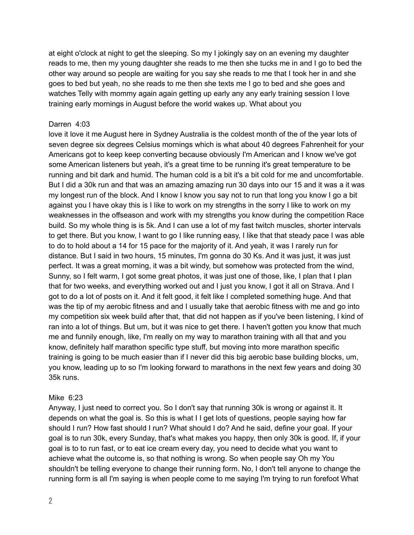at eight o'clock at night to get the sleeping. So my I jokingly say on an evening my daughter reads to me, then my young daughter she reads to me then she tucks me in and I go to bed the other way around so people are waiting for you say she reads to me that I took her in and she goes to bed but yeah, no she reads to me then she texts me I go to bed and she goes and watches Telly with mommy again again getting up early any any early training session I love training early mornings in August before the world wakes up. What about you

# Darren 4:03

love it love it me August here in Sydney Australia is the coldest month of the of the year lots of seven degree six degrees Celsius mornings which is what about 40 degrees Fahrenheit for your Americans got to keep keep converting because obviously I'm American and I know we've got some American listeners but yeah, it's a great time to be running it's great temperature to be running and bit dark and humid. The human cold is a bit it's a bit cold for me and uncomfortable. But I did a 30k run and that was an amazing amazing run 30 days into our 15 and it was a it was my longest run of the block. And I know I know you say not to run that long you know I go a bit against you I have okay this is I like to work on my strengths in the sorry I like to work on my weaknesses in the offseason and work with my strengths you know during the competition Race build. So my whole thing is is 5k. And I can use a lot of my fast twitch muscles, shorter intervals to get there. But you know, I want to go I like running easy, I like that that steady pace I was able to do to hold about a 14 for 15 pace for the majority of it. And yeah, it was I rarely run for distance. But I said in two hours, 15 minutes, I'm gonna do 30 Ks. And it was just, it was just perfect. It was a great morning, it was a bit windy, but somehow was protected from the wind, Sunny, so I felt warm, I got some great photos, it was just one of those, like, I plan that I plan that for two weeks, and everything worked out and I just you know, I got it all on Strava. And I got to do a lot of posts on it. And it felt good, it felt like I completed something huge. And that was the tip of my aerobic fitness and and I usually take that aerobic fitness with me and go into my competition six week build after that, that did not happen as if you've been listening, I kind of ran into a lot of things. But um, but it was nice to get there. I haven't gotten you know that much me and funnily enough, like, I'm really on my way to marathon training with all that and you know, definitely half marathon specific type stuff, but moving into more marathon specific training is going to be much easier than if I never did this big aerobic base building blocks, um, you know, leading up to so I'm looking forward to marathons in the next few years and doing 30 35k runs.

# Mike 6:23

Anyway, I just need to correct you. So I don't say that running 30k is wrong or against it. It depends on what the goal is. So this is what I I get lots of questions, people saying how far should I run? How fast should I run? What should I do? And he said, define your goal. If your goal is to run 30k, every Sunday, that's what makes you happy, then only 30k is good. If, if your goal is to to run fast, or to eat ice cream every day, you need to decide what you want to achieve what the outcome is, so that nothing is wrong. So when people say Oh my You shouldn't be telling everyone to change their running form. No, I don't tell anyone to change the running form is all I'm saying is when people come to me saying I'm trying to run forefoot What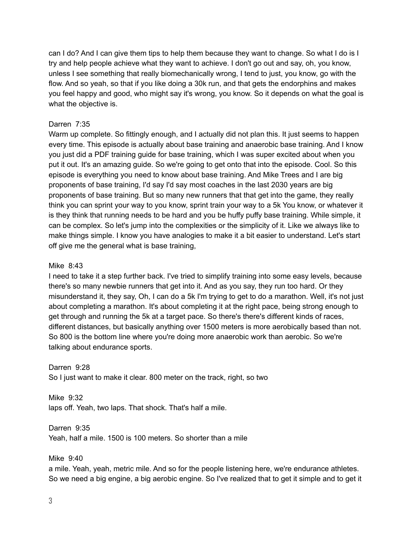can I do? And I can give them tips to help them because they want to change. So what I do is I try and help people achieve what they want to achieve. I don't go out and say, oh, you know, unless I see something that really biomechanically wrong, I tend to just, you know, go with the flow. And so yeah, so that if you like doing a 30k run, and that gets the endorphins and makes you feel happy and good, who might say it's wrong, you know. So it depends on what the goal is what the objective is.

# Darren 7:35

Warm up complete. So fittingly enough, and I actually did not plan this. It just seems to happen every time. This episode is actually about base training and anaerobic base training. And I know you just did a PDF training guide for base training, which I was super excited about when you put it out. It's an amazing guide. So we're going to get onto that into the episode. Cool. So this episode is everything you need to know about base training. And Mike Trees and I are big proponents of base training, I'd say I'd say most coaches in the last 2030 years are big proponents of base training. But so many new runners that that get into the game, they really think you can sprint your way to you know, sprint train your way to a 5k You know, or whatever it is they think that running needs to be hard and you be huffy puffy base training. While simple, it can be complex. So let's jump into the complexities or the simplicity of it. Like we always like to make things simple. I know you have analogies to make it a bit easier to understand. Let's start off give me the general what is base training,

# Mike 8:43

I need to take it a step further back. I've tried to simplify training into some easy levels, because there's so many newbie runners that get into it. And as you say, they run too hard. Or they misunderstand it, they say, Oh, I can do a 5k I'm trying to get to do a marathon. Well, it's not just about completing a marathon. It's about completing it at the right pace, being strong enough to get through and running the 5k at a target pace. So there's there's different kinds of races, different distances, but basically anything over 1500 meters is more aerobically based than not. So 800 is the bottom line where you're doing more anaerobic work than aerobic. So we're talking about endurance sports.

# Darren 9:28

So I just want to make it clear. 800 meter on the track, right, so two

Mike 9:32 laps off. Yeah, two laps. That shock. That's half a mile.

Darren 9:35 Yeah, half a mile. 1500 is 100 meters. So shorter than a mile

Mike 9:40

a mile. Yeah, yeah, metric mile. And so for the people listening here, we're endurance athletes. So we need a big engine, a big aerobic engine. So I've realized that to get it simple and to get it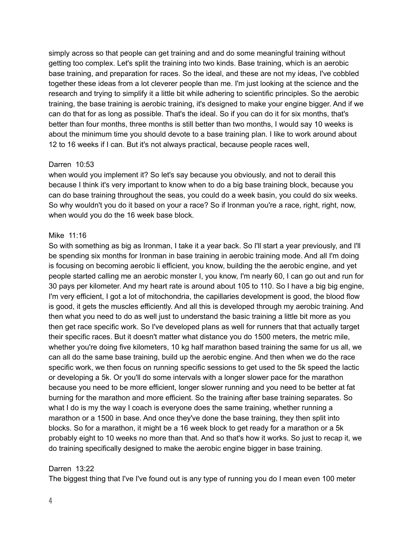simply across so that people can get training and and do some meaningful training without getting too complex. Let's split the training into two kinds. Base training, which is an aerobic base training, and preparation for races. So the ideal, and these are not my ideas, I've cobbled together these ideas from a lot cleverer people than me. I'm just looking at the science and the research and trying to simplify it a little bit while adhering to scientific principles. So the aerobic training, the base training is aerobic training, it's designed to make your engine bigger. And if we can do that for as long as possible. That's the ideal. So if you can do it for six months, that's better than four months, three months is still better than two months, I would say 10 weeks is about the minimum time you should devote to a base training plan. I like to work around about 12 to 16 weeks if I can. But it's not always practical, because people races well,

#### Darren 10:53

when would you implement it? So let's say because you obviously, and not to derail this because I think it's very important to know when to do a big base training block, because you can do base training throughout the seas, you could do a week basin, you could do six weeks. So why wouldn't you do it based on your a race? So if Ironman you're a race, right, right, now, when would you do the 16 week base block.

#### Mike 11:16

So with something as big as Ironman, I take it a year back. So I'll start a year previously, and I'll be spending six months for Ironman in base training in aerobic training mode. And all I'm doing is focusing on becoming aerobic li efficient, you know, building the the aerobic engine, and yet people started calling me an aerobic monster I, you know, I'm nearly 60, I can go out and run for 30 pays per kilometer. And my heart rate is around about 105 to 110. So I have a big big engine, I'm very efficient, I got a lot of mitochondria, the capillaries development is good, the blood flow is good, it gets the muscles efficiently. And all this is developed through my aerobic training. And then what you need to do as well just to understand the basic training a little bit more as you then get race specific work. So I've developed plans as well for runners that that actually target their specific races. But it doesn't matter what distance you do 1500 meters, the metric mile, whether you're doing five kilometers, 10 kg half marathon based training the same for us all, we can all do the same base training, build up the aerobic engine. And then when we do the race specific work, we then focus on running specific sessions to get used to the 5k speed the lactic or developing a 5k. Or you'll do some intervals with a longer slower pace for the marathon because you need to be more efficient, longer slower running and you need to be better at fat burning for the marathon and more efficient. So the training after base training separates. So what I do is my the way I coach is everyone does the same training, whether running a marathon or a 1500 in base. And once they've done the base training, they then split into blocks. So for a marathon, it might be a 16 week block to get ready for a marathon or a 5k probably eight to 10 weeks no more than that. And so that's how it works. So just to recap it, we do training specifically designed to make the aerobic engine bigger in base training.

# Darren 13:22

The biggest thing that I've I've found out is any type of running you do I mean even 100 meter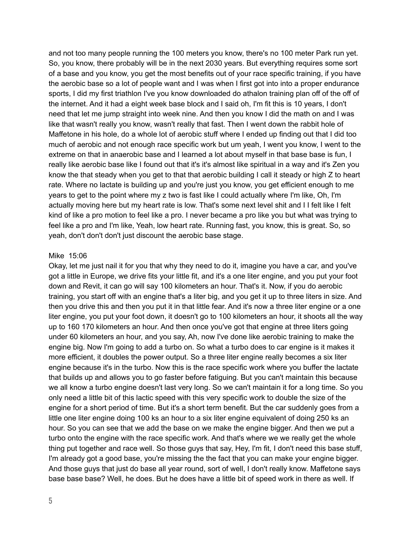and not too many people running the 100 meters you know, there's no 100 meter Park run yet. So, you know, there probably will be in the next 2030 years. But everything requires some sort of a base and you know, you get the most benefits out of your race specific training, if you have the aerobic base so a lot of people want and I was when I first got into into a proper endurance sports, I did my first triathlon I've you know downloaded do athalon training plan off of the off of the internet. And it had a eight week base block and I said oh, I'm fit this is 10 years, I don't need that let me jump straight into week nine. And then you know I did the math on and I was like that wasn't really you know, wasn't really that fast. Then I went down the rabbit hole of Maffetone in his hole, do a whole lot of aerobic stuff where I ended up finding out that I did too much of aerobic and not enough race specific work but um yeah, I went you know, I went to the extreme on that in anaerobic base and I learned a lot about myself in that base base is fun, I really like aerobic base like I found out that it's it's almost like spiritual in a way and it's Zen you know the that steady when you get to that that aerobic building I call it steady or high Z to heart rate. Where no lactate is building up and you're just you know, you get efficient enough to me years to get to the point where my z two is fast like I could actually where I'm like, Oh, I'm actually moving here but my heart rate is low. That's some next level shit and I I felt like I felt kind of like a pro motion to feel like a pro. I never became a pro like you but what was trying to feel like a pro and I'm like, Yeah, low heart rate. Running fast, you know, this is great. So, so yeah, don't don't don't just discount the aerobic base stage.

#### Mike 15:06

Okay, let me just nail it for you that why they need to do it, imagine you have a car, and you've got a little in Europe, we drive fits your little fit, and it's a one liter engine, and you put your foot down and Revit, it can go will say 100 kilometers an hour. That's it. Now, if you do aerobic training, you start off with an engine that's a liter big, and you get it up to three liters in size. And then you drive this and then you put it in that little fear. And it's now a three liter engine or a one liter engine, you put your foot down, it doesn't go to 100 kilometers an hour, it shoots all the way up to 160 170 kilometers an hour. And then once you've got that engine at three liters going under 60 kilometers an hour, and you say, Ah, now I've done like aerobic training to make the engine big. Now I'm going to add a turbo on. So what a turbo does to car engine is it makes it more efficient, it doubles the power output. So a three liter engine really becomes a six liter engine because it's in the turbo. Now this is the race specific work where you buffer the lactate that builds up and allows you to go faster before fatiguing. But you can't maintain this because we all know a turbo engine doesn't last very long. So we can't maintain it for a long time. So you only need a little bit of this lactic speed with this very specific work to double the size of the engine for a short period of time. But it's a short term benefit. But the car suddenly goes from a little one liter engine doing 100 ks an hour to a six liter engine equivalent of doing 250 ks an hour. So you can see that we add the base on we make the engine bigger. And then we put a turbo onto the engine with the race specific work. And that's where we we really get the whole thing put together and race well. So those guys that say, Hey, I'm fit, I don't need this base stuff, I'm already got a good base, you're missing the the fact that you can make your engine bigger. And those guys that just do base all year round, sort of well, I don't really know. Maffetone says base base base? Well, he does. But he does have a little bit of speed work in there as well. If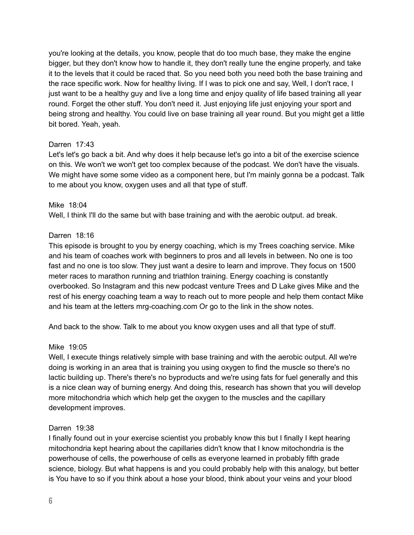you're looking at the details, you know, people that do too much base, they make the engine bigger, but they don't know how to handle it, they don't really tune the engine properly, and take it to the levels that it could be raced that. So you need both you need both the base training and the race specific work. Now for healthy living. If I was to pick one and say, Well, I don't race, I just want to be a healthy guy and live a long time and enjoy quality of life based training all year round. Forget the other stuff. You don't need it. Just enjoying life just enjoying your sport and being strong and healthy. You could live on base training all year round. But you might get a little bit bored. Yeah, yeah.

# Darren 17:43

Let's let's go back a bit. And why does it help because let's go into a bit of the exercise science on this. We won't we won't get too complex because of the podcast. We don't have the visuals. We might have some some video as a component here, but I'm mainly gonna be a podcast. Talk to me about you know, oxygen uses and all that type of stuff.

# Mike 18:04

Well, I think I'll do the same but with base training and with the aerobic output. ad break.

# Darren 18:16

This episode is brought to you by energy coaching, which is my Trees coaching service. Mike and his team of coaches work with beginners to pros and all levels in between. No one is too fast and no one is too slow. They just want a desire to learn and improve. They focus on 1500 meter races to marathon running and triathlon training. Energy coaching is constantly overbooked. So Instagram and this new podcast venture Trees and D Lake gives Mike and the rest of his energy coaching team a way to reach out to more people and help them contact Mike and his team at the letters mrg-coaching.com Or go to the link in the show notes.

And back to the show. Talk to me about you know oxygen uses and all that type of stuff.

# Mike 19:05

Well, I execute things relatively simple with base training and with the aerobic output. All we're doing is working in an area that is training you using oxygen to find the muscle so there's no lactic building up. There's there's no byproducts and we're using fats for fuel generally and this is a nice clean way of burning energy. And doing this, research has shown that you will develop more mitochondria which which help get the oxygen to the muscles and the capillary development improves.

# Darren 19:38

I finally found out in your exercise scientist you probably know this but I finally I kept hearing mitochondria kept hearing about the capillaries didn't know that I know mitochondria is the powerhouse of cells, the powerhouse of cells as everyone learned in probably fifth grade science, biology. But what happens is and you could probably help with this analogy, but better is You have to so if you think about a hose your blood, think about your veins and your blood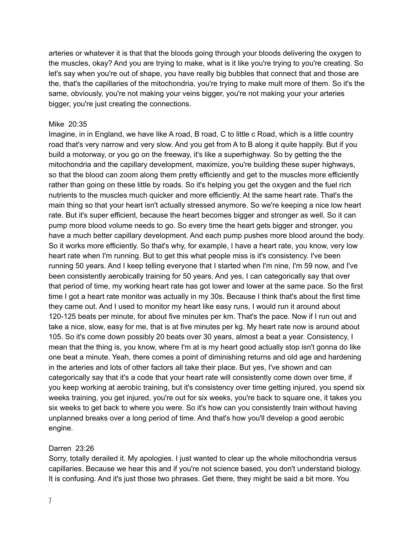arteries or whatever it is that that the bloods going through your bloods delivering the oxygen to the muscles, okay? And you are trying to make, what is it like you're trying to you're creating. So let's say when you're out of shape, you have really big bubbles that connect that and those are the, that's the capillaries of the mitochondria, you're trying to make mult more of them. So it's the same, obviously, you're not making your veins bigger, you're not making your your arteries bigger, you're just creating the connections.

# Mike 20:35

Imagine, in in England, we have like A road, B road, C to little c Road, which is a little country road that's very narrow and very slow. And you get from A to B along it quite happily. But if you build a motorway, or you go on the freeway, it's like a superhighway. So by getting the the mitochondria and the capillary development, maximize, you're building these super highways, so that the blood can zoom along them pretty efficiently and get to the muscles more efficiently rather than going on these little by roads. So it's helping you get the oxygen and the fuel rich nutrients to the muscles much quicker and more efficiently. At the same heart rate. That's the main thing so that your heart isn't actually stressed anymore. So we're keeping a nice low heart rate. But it's super efficient, because the heart becomes bigger and stronger as well. So it can pump more blood volume needs to go. So every time the heart gets bigger and stronger, you have a much better capillary development. And each pump pushes more blood around the body. So it works more efficiently. So that's why, for example, I have a heart rate, you know, very low heart rate when I'm running. But to get this what people miss is it's consistency. I've been running 50 years. And I keep telling everyone that I started when I'm nine, I'm 59 now, and I've been consistently aerobically training for 50 years. And yes, I can categorically say that over that period of time, my working heart rate has got lower and lower at the same pace. So the first time I got a heart rate monitor was actually in my 30s. Because I think that's about the first time they came out. And I used to monitor my heart like easy runs, I would run it around about 120-125 beats per minute, for about five minutes per km. That's the pace. Now if I run out and take a nice, slow, easy for me, that is at five minutes per kg. My heart rate now is around about 105. So it's come down possibly 20 beats over 30 years, almost a beat a year. Consistency, I mean that the thing is, you know, where I'm at is my heart good actually stop isn't gonna do like one beat a minute. Yeah, there comes a point of diminishing returns and old age and hardening in the arteries and lots of other factors all take their place. But yes, I've shown and can categorically say that it's a code that your heart rate will consistently come down over time, if you keep working at aerobic training, but it's consistency over time getting injured, you spend six weeks training, you get injured, you're out for six weeks, you're back to square one, it takes you six weeks to get back to where you were. So it's how can you consistently train without having unplanned breaks over a long period of time. And that's how you'll develop a good aerobic engine.

# Darren 23:26

Sorry, totally derailed it. My apologies. I just wanted to clear up the whole mitochondria versus capillaries. Because we hear this and if you're not science based, you don't understand biology. It is confusing. And it's just those two phrases. Get there, they might be said a bit more. You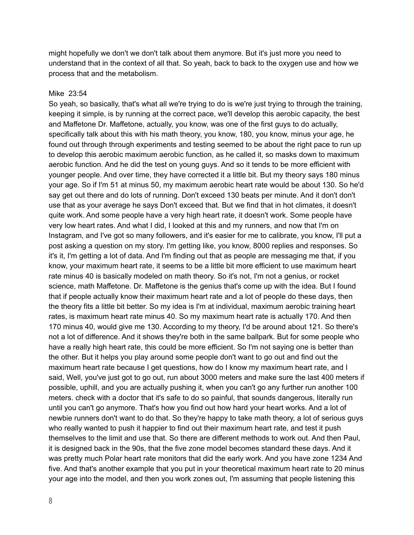might hopefully we don't we don't talk about them anymore. But it's just more you need to understand that in the context of all that. So yeah, back to back to the oxygen use and how we process that and the metabolism.

#### Mike 23:54

So yeah, so basically, that's what all we're trying to do is we're just trying to through the training, keeping it simple, is by running at the correct pace, we'll develop this aerobic capacity, the best and Maffetone Dr. Maffetone, actually, you know, was one of the first guys to do actually, specifically talk about this with his math theory, you know, 180, you know, minus your age, he found out through through experiments and testing seemed to be about the right pace to run up to develop this aerobic maximum aerobic function, as he called it, so masks down to maximum aerobic function. And he did the test on young guys. And so it tends to be more efficient with younger people. And over time, they have corrected it a little bit. But my theory says 180 minus your age. So if I'm 51 at minus 50, my maximum aerobic heart rate would be about 130. So he'd say get out there and do lots of running. Don't exceed 130 beats per minute. And it don't don't use that as your average he says Don't exceed that. But we find that in hot climates, it doesn't quite work. And some people have a very high heart rate, it doesn't work. Some people have very low heart rates. And what I did, I looked at this and my runners, and now that I'm on Instagram, and I've got so many followers, and it's easier for me to calibrate, you know, I'll put a post asking a question on my story. I'm getting like, you know, 8000 replies and responses. So it's it, I'm getting a lot of data. And I'm finding out that as people are messaging me that, if you know, your maximum heart rate, it seems to be a little bit more efficient to use maximum heart rate minus 40 is basically modeled on math theory. So it's not, I'm not a genius, or rocket science, math Maffetone. Dr. Maffetone is the genius that's come up with the idea. But I found that if people actually know their maximum heart rate and a lot of people do these days, then the theory fits a little bit better. So my idea is I'm at individual, maximum aerobic training heart rates, is maximum heart rate minus 40. So my maximum heart rate is actually 170. And then 170 minus 40, would give me 130. According to my theory, I'd be around about 121. So there's not a lot of difference. And it shows they're both in the same ballpark. But for some people who have a really high heart rate, this could be more efficient. So I'm not saying one is better than the other. But it helps you play around some people don't want to go out and find out the maximum heart rate because I get questions, how do I know my maximum heart rate, and I said, Well, you've just got to go out, run about 3000 meters and make sure the last 400 meters if possible, uphill, and you are actually pushing it, when you can't go any further run another 100 meters. check with a doctor that it's safe to do so painful, that sounds dangerous, literally run until you can't go anymore. That's how you find out how hard your heart works. And a lot of newbie runners don't want to do that. So they're happy to take math theory, a lot of serious guys who really wanted to push it happier to find out their maximum heart rate, and test it push themselves to the limit and use that. So there are different methods to work out. And then Paul, it is designed back in the 90s, that the five zone model becomes standard these days. And it was pretty much Polar heart rate monitors that did the early work. And you have zone 1234 And five. And that's another example that you put in your theoretical maximum heart rate to 20 minus your age into the model, and then you work zones out, I'm assuming that people listening this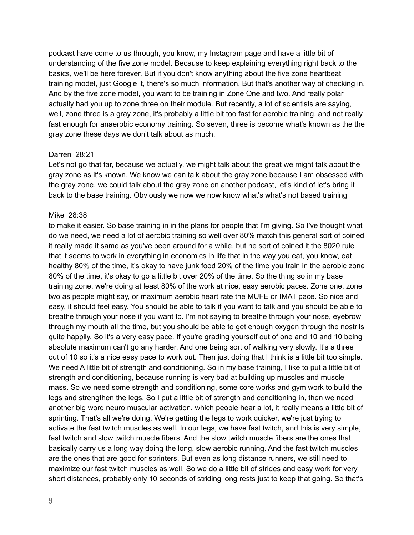podcast have come to us through, you know, my Instagram page and have a little bit of understanding of the five zone model. Because to keep explaining everything right back to the basics, we'll be here forever. But if you don't know anything about the five zone heartbeat training model, just Google it, there's so much information. But that's another way of checking in. And by the five zone model, you want to be training in Zone One and two. And really polar actually had you up to zone three on their module. But recently, a lot of scientists are saying, well, zone three is a gray zone, it's probably a little bit too fast for aerobic training, and not really fast enough for anaerobic economy training. So seven, three is become what's known as the the gray zone these days we don't talk about as much.

#### Darren 28:21

Let's not go that far, because we actually, we might talk about the great we might talk about the gray zone as it's known. We know we can talk about the gray zone because I am obsessed with the gray zone, we could talk about the gray zone on another podcast, let's kind of let's bring it back to the base training. Obviously we now we now know what's what's not based training

#### Mike 28:38

to make it easier. So base training in in the plans for people that I'm giving. So I've thought what do we need, we need a lot of aerobic training so well over 80% match this general sort of coined it really made it same as you've been around for a while, but he sort of coined it the 8020 rule that it seems to work in everything in economics in life that in the way you eat, you know, eat healthy 80% of the time, it's okay to have junk food 20% of the time you train in the aerobic zone 80% of the time, it's okay to go a little bit over 20% of the time. So the thing so in my base training zone, we're doing at least 80% of the work at nice, easy aerobic paces. Zone one, zone two as people might say, or maximum aerobic heart rate the MUFE or IMAT pace. So nice and easy, it should feel easy. You should be able to talk if you want to talk and you should be able to breathe through your nose if you want to. I'm not saying to breathe through your nose, eyebrow through my mouth all the time, but you should be able to get enough oxygen through the nostrils quite happily. So it's a very easy pace. If you're grading yourself out of one and 10 and 10 being absolute maximum can't go any harder. And one being sort of walking very slowly. It's a three out of 10 so it's a nice easy pace to work out. Then just doing that I think is a little bit too simple. We need A little bit of strength and conditioning. So in my base training, I like to put a little bit of strength and conditioning, because running is very bad at building up muscles and muscle mass. So we need some strength and conditioning, some core works and gym work to build the legs and strengthen the legs. So I put a little bit of strength and conditioning in, then we need another big word neuro muscular activation, which people hear a lot, it really means a little bit of sprinting. That's all we're doing. We're getting the legs to work quicker, we're just trying to activate the fast twitch muscles as well. In our legs, we have fast twitch, and this is very simple, fast twitch and slow twitch muscle fibers. And the slow twitch muscle fibers are the ones that basically carry us a long way doing the long, slow aerobic running. And the fast twitch muscles are the ones that are good for sprinters. But even as long distance runners, we still need to maximize our fast twitch muscles as well. So we do a little bit of strides and easy work for very short distances, probably only 10 seconds of striding long rests just to keep that going. So that's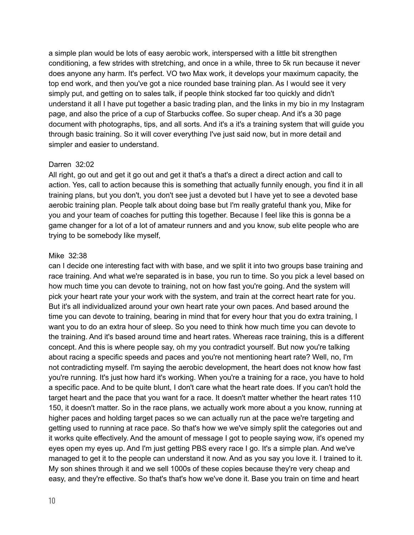a simple plan would be lots of easy aerobic work, interspersed with a little bit strengthen conditioning, a few strides with stretching, and once in a while, three to 5k run because it never does anyone any harm. It's perfect. VO two Max work, it develops your maximum capacity, the top end work, and then you've got a nice rounded base training plan. As I would see it very simply put, and getting on to sales talk, if people think stocked far too quickly and didn't understand it all I have put together a basic trading plan, and the links in my bio in my Instagram page, and also the price of a cup of Starbucks coffee. So super cheap. And it's a 30 page document with photographs, tips, and all sorts. And it's a it's a training system that will guide you through basic training. So it will cover everything I've just said now, but in more detail and simpler and easier to understand.

# Darren 32:02

All right, go out and get it go out and get it that's a that's a direct a direct action and call to action. Yes, call to action because this is something that actually funnily enough, you find it in all training plans, but you don't, you don't see just a devoted but I have yet to see a devoted base aerobic training plan. People talk about doing base but I'm really grateful thank you, Mike for you and your team of coaches for putting this together. Because I feel like this is gonna be a game changer for a lot of a lot of amateur runners and and you know, sub elite people who are trying to be somebody like myself,

# Mike 32:38

can I decide one interesting fact with with base, and we split it into two groups base training and race training. And what we're separated is in base, you run to time. So you pick a level based on how much time you can devote to training, not on how fast you're going. And the system will pick your heart rate your your work with the system, and train at the correct heart rate for you. But it's all individualized around your own heart rate your own paces. And based around the time you can devote to training, bearing in mind that for every hour that you do extra training, I want you to do an extra hour of sleep. So you need to think how much time you can devote to the training. And it's based around time and heart rates. Whereas race training, this is a different concept. And this is where people say, oh my you contradict yourself. But now you're talking about racing a specific speeds and paces and you're not mentioning heart rate? Well, no, I'm not contradicting myself. I'm saying the aerobic development, the heart does not know how fast you're running. It's just how hard it's working. When you're a training for a race, you have to hold a specific pace. And to be quite blunt, I don't care what the heart rate does. If you can't hold the target heart and the pace that you want for a race. It doesn't matter whether the heart rates 110 150, it doesn't matter. So in the race plans, we actually work more about a you know, running at higher paces and holding target paces so we can actually run at the pace we're targeting and getting used to running at race pace. So that's how we we've simply split the categories out and it works quite effectively. And the amount of message I got to people saying wow, it's opened my eyes open my eyes up. And I'm just getting PBS every race I go. It's a simple plan. And we've managed to get it to the people can understand it now. And as you say you love it. I trained to it. My son shines through it and we sell 1000s of these copies because they're very cheap and easy, and they're effective. So that's that's how we've done it. Base you train on time and heart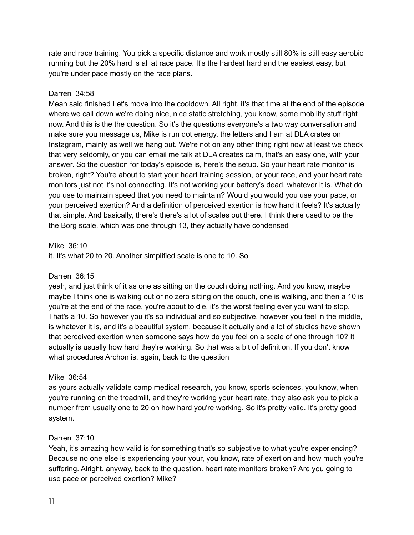rate and race training. You pick a specific distance and work mostly still 80% is still easy aerobic running but the 20% hard is all at race pace. It's the hardest hard and the easiest easy, but you're under pace mostly on the race plans.

# Darren 34:58

Mean said finished Let's move into the cooldown. All right, it's that time at the end of the episode where we call down we're doing nice, nice static stretching, you know, some mobility stuff right now. And this is the the question. So it's the questions everyone's a two way conversation and make sure you message us, Mike is run dot energy, the letters and I am at DLA crates on Instagram, mainly as well we hang out. We're not on any other thing right now at least we check that very seldomly, or you can email me talk at DLA creates calm, that's an easy one, with your answer. So the question for today's episode is, here's the setup. So your heart rate monitor is broken, right? You're about to start your heart training session, or your race, and your heart rate monitors just not it's not connecting. It's not working your battery's dead, whatever it is. What do you use to maintain speed that you need to maintain? Would you would you use your pace, or your perceived exertion? And a definition of perceived exertion is how hard it feels? It's actually that simple. And basically, there's there's a lot of scales out there. I think there used to be the the Borg scale, which was one through 13, they actually have condensed

# Mike 36:10

it. It's what 20 to 20. Another simplified scale is one to 10. So

# Darren 36:15

yeah, and just think of it as one as sitting on the couch doing nothing. And you know, maybe maybe I think one is walking out or no zero sitting on the couch, one is walking, and then a 10 is you're at the end of the race, you're about to die, it's the worst feeling ever you want to stop. That's a 10. So however you it's so individual and so subjective, however you feel in the middle, is whatever it is, and it's a beautiful system, because it actually and a lot of studies have shown that perceived exertion when someone says how do you feel on a scale of one through 10? It actually is usually how hard they're working. So that was a bit of definition. If you don't know what procedures Archon is, again, back to the question

# Mike 36:54

as yours actually validate camp medical research, you know, sports sciences, you know, when you're running on the treadmill, and they're working your heart rate, they also ask you to pick a number from usually one to 20 on how hard you're working. So it's pretty valid. It's pretty good system.

# Darren 37:10

Yeah, it's amazing how valid is for something that's so subjective to what you're experiencing? Because no one else is experiencing your your, you know, rate of exertion and how much you're suffering. Alright, anyway, back to the question. heart rate monitors broken? Are you going to use pace or perceived exertion? Mike?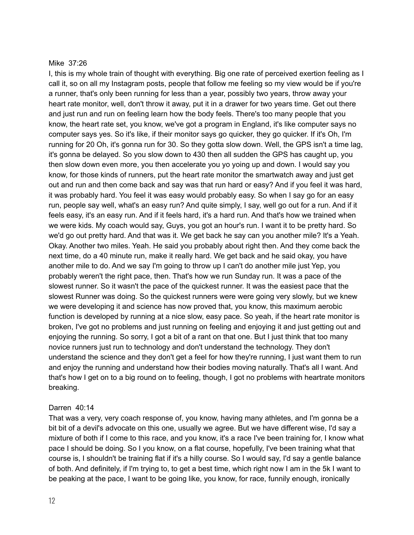#### Mike 37:26

I, this is my whole train of thought with everything. Big one rate of perceived exertion feeling as I call it, so on all my Instagram posts, people that follow me feeling so my view would be if you're a runner, that's only been running for less than a year, possibly two years, throw away your heart rate monitor, well, don't throw it away, put it in a drawer for two years time. Get out there and just run and run on feeling learn how the body feels. There's too many people that you know, the heart rate set, you know, we've got a program in England, it's like computer says no computer says yes. So it's like, if their monitor says go quicker, they go quicker. If it's Oh, I'm running for 20 Oh, it's gonna run for 30. So they gotta slow down. Well, the GPS isn't a time lag, it's gonna be delayed. So you slow down to 430 then all sudden the GPS has caught up, you then slow down even more, you then accelerate you yo yoing up and down. I would say you know, for those kinds of runners, put the heart rate monitor the smartwatch away and just get out and run and then come back and say was that run hard or easy? And if you feel it was hard, it was probably hard. You feel it was easy would probably easy. So when I say go for an easy run, people say well, what's an easy run? And quite simply, I say, well go out for a run. And if it feels easy, it's an easy run. And if it feels hard, it's a hard run. And that's how we trained when we were kids. My coach would say, Guys, you got an hour's run. I want it to be pretty hard. So we'd go out pretty hard. And that was it. We get back he say can you another mile? It's a Yeah. Okay. Another two miles. Yeah. He said you probably about right then. And they come back the next time, do a 40 minute run, make it really hard. We get back and he said okay, you have another mile to do. And we say I'm going to throw up I can't do another mile just Yep, you probably weren't the right pace, then. That's how we run Sunday run. It was a pace of the slowest runner. So it wasn't the pace of the quickest runner. It was the easiest pace that the slowest Runner was doing. So the quickest runners were were going very slowly, but we knew we were developing it and science has now proved that, you know, this maximum aerobic function is developed by running at a nice slow, easy pace. So yeah, if the heart rate monitor is broken, I've got no problems and just running on feeling and enjoying it and just getting out and enjoying the running. So sorry, I got a bit of a rant on that one. But I just think that too many novice runners just run to technology and don't understand the technology. They don't understand the science and they don't get a feel for how they're running, I just want them to run and enjoy the running and understand how their bodies moving naturally. That's all I want. And that's how I get on to a big round on to feeling, though, I got no problems with heartrate monitors breaking.

# Darren 40:14

That was a very, very coach response of, you know, having many athletes, and I'm gonna be a bit bit of a devil's advocate on this one, usually we agree. But we have different wise, I'd say a mixture of both if I come to this race, and you know, it's a race I've been training for, I know what pace I should be doing. So I you know, on a flat course, hopefully, I've been training what that course is, I shouldn't be training flat if it's a hilly course. So I would say, I'd say a gentle balance of both. And definitely, if I'm trying to, to get a best time, which right now I am in the 5k I want to be peaking at the pace, I want to be going like, you know, for race, funnily enough, ironically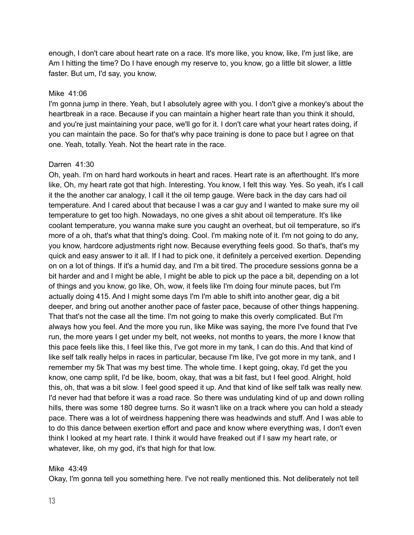enough, I don't care about heart rate on a race. It's more like, you know, like, I'm just like, are Am I hitting the time? Do I have enough my reserve to, you know, go a little bit slower, a little faster. But um, I'd say, you know,

# Mike 41:06

I'm gonna jump in there. Yeah, but I absolutely agree with you. I don't give a monkey's about the heartbreak in a race. Because if you can maintain a higher heart rate than you think it should, and you're just maintaining your pace, we'll go for it. I don't care what your heart rates doing, if you can maintain the pace. So for that's why pace training is done to pace but I agree on that one. Yeah, totally. Yeah. Not the heart rate in the race.

#### Darren 41:30

Oh, yeah. I'm on hard hard workouts in heart and races. Heart rate is an afterthought. It's more like, Oh, my heart rate got that high. Interesting. You know, I felt this way. Yes. So yeah, it's I call it the the another car analogy, I call it the oil temp gauge. Were back in the day cars had oil temperature. And I cared about that because I was a car guy and I wanted to make sure my oil temperature to get too high. Nowadays, no one gives a shit about oil temperature. It's like coolant temperature, you wanna make sure you caught an overheat, but oil temperature, so it's more of a oh, that's what that thing's doing. Cool. I'm making note of it. I'm not going to do any, you know, hardcore adjustments right now. Because everything feels good. So that's, that's my quick and easy answer to it all. If I had to pick one, it definitely a perceived exertion. Depending on on a lot of things. If it's a humid day, and I'm a bit tired. The procedure sessions gonna be a bit harder and and I might be able, I might be able to pick up the pace a bit, depending on a lot of things and you know, go like, Oh, wow, it feels like I'm doing four minute paces, but I'm actually doing 415. And I might some days I'm I'm able to shift into another gear, dig a bit deeper, and bring out another another pace of faster pace, because of other things happening. That that's not the case all the time. I'm not going to make this overly complicated. But I'm always how you feel. And the more you run, like Mike was saying, the more I've found that I've run, the more years I get under my belt, not weeks, not months to years, the more I know that this pace feels like this, I feel like this, I've got more in my tank, I can do this. And that kind of like self talk really helps in races in particular, because I'm like, I've got more in my tank, and I remember my 5k That was my best time. The whole time. I kept going, okay, I'd get the you know, one camp split, I'd be like, boom, okay, that was a bit fast, but I feel good. Alright, hold this, oh, that was a bit slow. I feel good speed it up. And that kind of like self talk was really new. I'd never had that before it was a road race. So there was undulating kind of up and down rolling hills, there was some 180 degree turns. So it wasn't like on a track where you can hold a steady pace. There was a lot of weirdness happening there was headwinds and stuff. And I was able to to do this dance between exertion effort and pace and know where everything was, I don't even think I looked at my heart rate. I think it would have freaked out if I saw my heart rate, or whatever, like, oh my god, it's that high for that low.

# Mike 43:49

Okay, I'm gonna tell you something here. I've not really mentioned this. Not deliberately not tell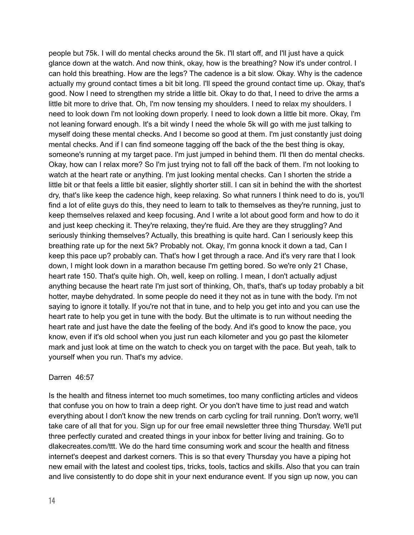people but 75k. I will do mental checks around the 5k. I'll start off, and I'll just have a quick glance down at the watch. And now think, okay, how is the breathing? Now it's under control. I can hold this breathing. How are the legs? The cadence is a bit slow. Okay. Why is the cadence actually my ground contact times a bit bit long. I'll speed the ground contact time up. Okay, that's good. Now I need to strengthen my stride a little bit. Okay to do that, I need to drive the arms a little bit more to drive that. Oh, I'm now tensing my shoulders. I need to relax my shoulders. I need to look down I'm not looking down properly. I need to look down a little bit more. Okay, I'm not leaning forward enough. It's a bit windy I need the whole 5k will go with me just talking to myself doing these mental checks. And I become so good at them. I'm just constantly just doing mental checks. And if I can find someone tagging off the back of the the best thing is okay, someone's running at my target pace. I'm just jumped in behind them. I'll then do mental checks. Okay, how can I relax more? So I'm just trying not to fall off the back of them. I'm not looking to watch at the heart rate or anything. I'm just looking mental checks. Can I shorten the stride a little bit or that feels a little bit easier, slightly shorter still. I can sit in behind the with the shortest dry, that's like keep the cadence high, keep relaxing. So what runners I think need to do is, you'll find a lot of elite guys do this, they need to learn to talk to themselves as they're running, just to keep themselves relaxed and keep focusing. And I write a lot about good form and how to do it and just keep checking it. They're relaxing, they're fluid. Are they are they struggling? And seriously thinking themselves? Actually, this breathing is quite hard. Can I seriously keep this breathing rate up for the next 5k? Probably not. Okay, I'm gonna knock it down a tad, Can I keep this pace up? probably can. That's how I get through a race. And it's very rare that I look down, I might look down in a marathon because I'm getting bored. So we're only 21 Chase, heart rate 150. That's quite high. Oh, well, keep on rolling. I mean, I don't actually adjust anything because the heart rate I'm just sort of thinking, Oh, that's, that's up today probably a bit hotter, maybe dehydrated. In some people do need it they not as in tune with the body. I'm not saying to ignore it totally. If you're not that in tune, and to help you get into and you can use the heart rate to help you get in tune with the body. But the ultimate is to run without needing the heart rate and just have the date the feeling of the body. And it's good to know the pace, you know, even if it's old school when you just run each kilometer and you go past the kilometer mark and just look at time on the watch to check you on target with the pace. But yeah, talk to yourself when you run. That's my advice.

# Darren 46:57

Is the health and fitness internet too much sometimes, too many conflicting articles and videos that confuse you on how to train a deep right. Or you don't have time to just read and watch everything about I don't know the new trends on carb cycling for trail running. Don't worry, we'll take care of all that for you. Sign up for our free email newsletter three thing Thursday. We'll put three perfectly curated and created things in your inbox for better living and training. Go to dlakecreates.com/ttt. We do the hard time consuming work and scour the health and fitness internet's deepest and darkest corners. This is so that every Thursday you have a piping hot new email with the latest and coolest tips, tricks, tools, tactics and skills. Also that you can train and live consistently to do dope shit in your next endurance event. If you sign up now, you can